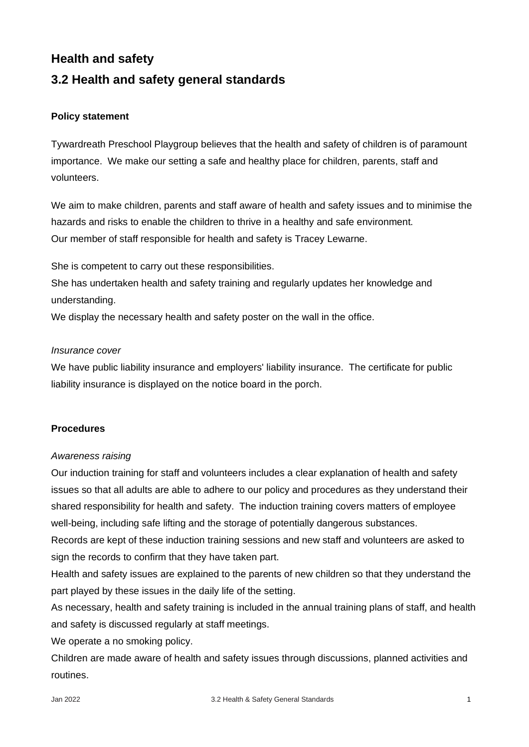# **Health and safety**

# **3.2 Health and safety general standards**

## **Policy statement**

Tywardreath Preschool Playgroup believes that the health and safety of children is of paramount importance. We make our setting a safe and healthy place for children, parents, staff and volunteers.

We aim to make children, parents and staff aware of health and safety issues and to minimise the hazards and risks to enable the children to thrive in a healthy and safe environment. Our member of staff responsible for health and safety is Tracey Lewarne.

She is competent to carry out these responsibilities.

She has undertaken health and safety training and regularly updates her knowledge and understanding.

We display the necessary health and safety poster on the wall in the office.

## *Insurance cover*

We have public liability insurance and employers' liability insurance. The certificate for public liability insurance is displayed on the notice board in the porch.

## **Procedures**

## *Awareness raising*

Our induction training for staff and volunteers includes a clear explanation of health and safety issues so that all adults are able to adhere to our policy and procedures as they understand their shared responsibility for health and safety. The induction training covers matters of employee well-being, including safe lifting and the storage of potentially dangerous substances.

Records are kept of these induction training sessions and new staff and volunteers are asked to sign the records to confirm that they have taken part.

Health and safety issues are explained to the parents of new children so that they understand the part played by these issues in the daily life of the setting.

As necessary, health and safety training is included in the annual training plans of staff, and health and safety is discussed regularly at staff meetings.

We operate a no smoking policy.

Children are made aware of health and safety issues through discussions, planned activities and routines.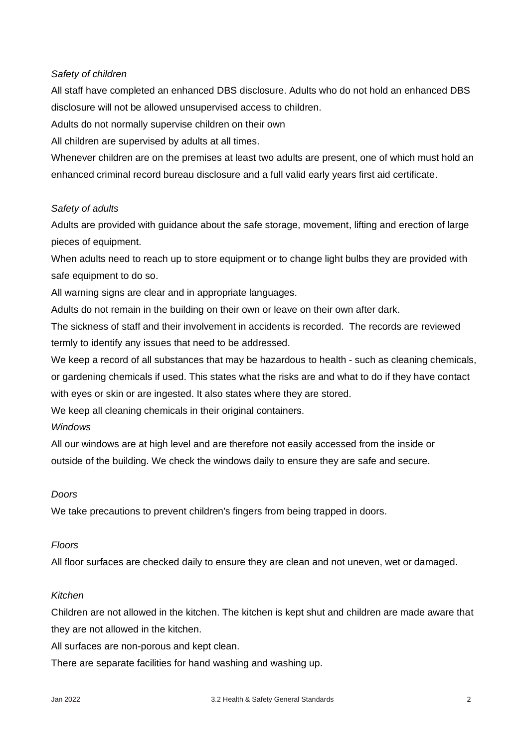#### *Safety of children*

All staff have completed an enhanced DBS disclosure. Adults who do not hold an enhanced DBS disclosure will not be allowed unsupervised access to children.

Adults do not normally supervise children on their own

All children are supervised by adults at all times.

Whenever children are on the premises at least two adults are present, one of which must hold an enhanced criminal record bureau disclosure and a full valid early years first aid certificate.

#### *Safety of adults*

Adults are provided with guidance about the safe storage, movement, lifting and erection of large pieces of equipment.

When adults need to reach up to store equipment or to change light bulbs they are provided with safe equipment to do so.

All warning signs are clear and in appropriate languages.

Adults do not remain in the building on their own or leave on their own after dark.

The sickness of staff and their involvement in accidents is recorded. The records are reviewed termly to identify any issues that need to be addressed.

We keep a record of all substances that may be hazardous to health - such as cleaning chemicals, or gardening chemicals if used. This states what the risks are and what to do if they have contact with eyes or skin or are ingested. It also states where they are stored.

We keep all cleaning chemicals in their original containers.

#### *Windows*

All our windows are at high level and are therefore not easily accessed from the inside or outside of the building. We check the windows daily to ensure they are safe and secure.

#### *Doors*

We take precautions to prevent children's fingers from being trapped in doors.

#### *Floors*

All floor surfaces are checked daily to ensure they are clean and not uneven, wet or damaged.

#### *Kitchen*

Children are not allowed in the kitchen. The kitchen is kept shut and children are made aware that they are not allowed in the kitchen.

All surfaces are non-porous and kept clean.

There are separate facilities for hand washing and washing up.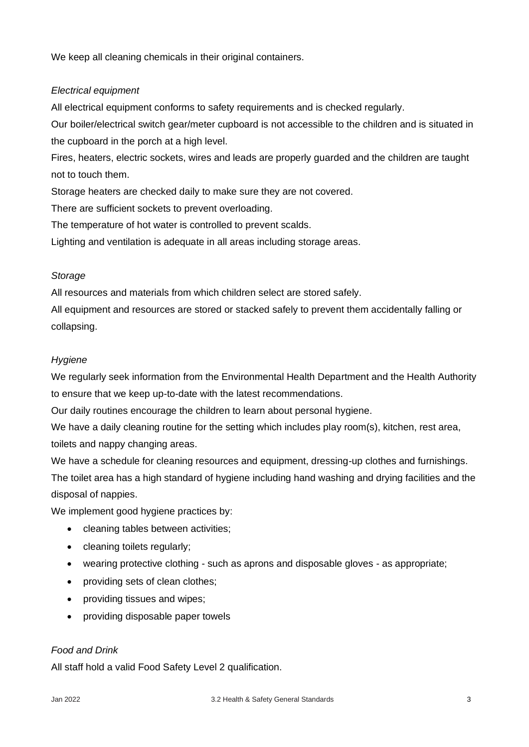We keep all cleaning chemicals in their original containers.

## *Electrical equipment*

All electrical equipment conforms to safety requirements and is checked regularly.

Our boiler/electrical switch gear/meter cupboard is not accessible to the children and is situated in the cupboard in the porch at a high level.

Fires, heaters, electric sockets, wires and leads are properly guarded and the children are taught not to touch them.

Storage heaters are checked daily to make sure they are not covered.

There are sufficient sockets to prevent overloading.

The temperature of hot water is controlled to prevent scalds.

Lighting and ventilation is adequate in all areas including storage areas.

## *Storage*

All resources and materials from which children select are stored safely.

All equipment and resources are stored or stacked safely to prevent them accidentally falling or collapsing.

## *Hygiene*

We regularly seek information from the Environmental Health Department and the Health Authority to ensure that we keep up-to-date with the latest recommendations.

Our daily routines encourage the children to learn about personal hygiene.

We have a daily cleaning routine for the setting which includes play room(s), kitchen, rest area, toilets and nappy changing areas.

We have a schedule for cleaning resources and equipment, dressing-up clothes and furnishings. The toilet area has a high standard of hygiene including hand washing and drying facilities and the disposal of nappies.

We implement good hygiene practices by:

- cleaning tables between activities;
- cleaning toilets regularly;
- wearing protective clothing such as aprons and disposable gloves as appropriate;
- providing sets of clean clothes;
- providing tissues and wipes;
- providing disposable paper towels

## *Food and Drink*

All staff hold a valid Food Safety Level 2 qualification.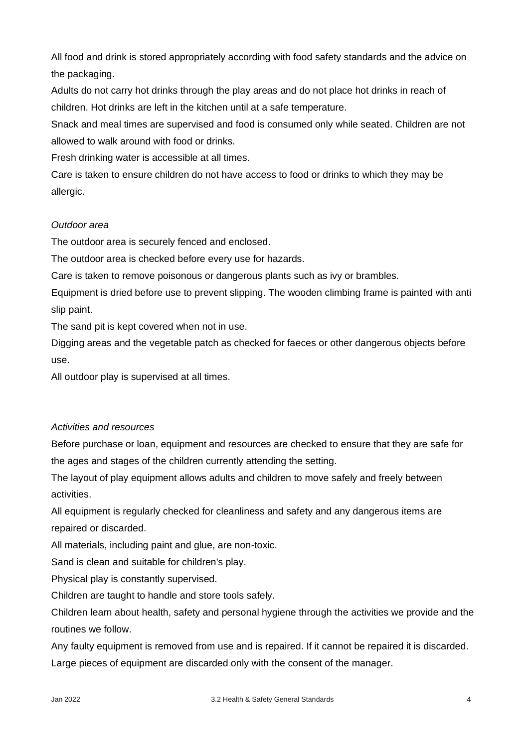All food and drink is stored appropriately according with food safety standards and the advice on the packaging.

Adults do not carry hot drinks through the play areas and do not place hot drinks in reach of children. Hot drinks are left in the kitchen until at a safe temperature.

Snack and meal times are supervised and food is consumed only while seated. Children are not allowed to walk around with food or drinks.

Fresh drinking water is accessible at all times.

Care is taken to ensure children do not have access to food or drinks to which they may be allergic.

# *Outdoor area*

The outdoor area is securely fenced and enclosed.

The outdoor area is checked before every use for hazards.

Care is taken to remove poisonous or dangerous plants such as ivy or brambles.

Equipment is dried before use to prevent slipping. The wooden climbing frame is painted with anti slip paint.

The sand pit is kept covered when not in use.

Digging areas and the vegetable patch as checked for faeces or other dangerous objects before use.

All outdoor play is supervised at all times.

# *Activities and resources*

Before purchase or loan, equipment and resources are checked to ensure that they are safe for the ages and stages of the children currently attending the setting.

The layout of play equipment allows adults and children to move safely and freely between activities.

All equipment is regularly checked for cleanliness and safety and any dangerous items are repaired or discarded.

All materials, including paint and glue, are non-toxic.

Sand is clean and suitable for children's play.

Physical play is constantly supervised.

Children are taught to handle and store tools safely.

Children learn about health, safety and personal hygiene through the activities we provide and the routines we follow.

Any faulty equipment is removed from use and is repaired. If it cannot be repaired it is discarded. Large pieces of equipment are discarded only with the consent of the manager.